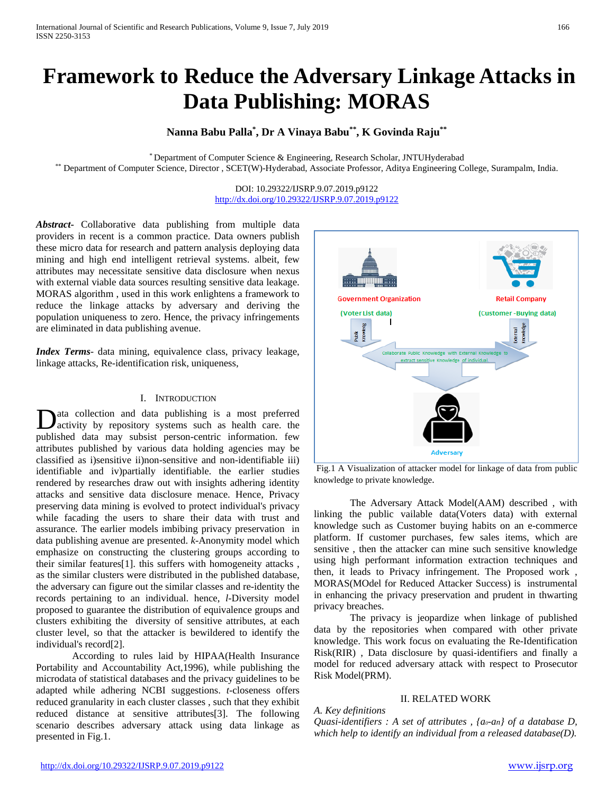# **Framework to Reduce the Adversary Linkage Attacks in Data Publishing: MORAS**

## **Nanna Babu Palla\* , Dr A Vinaya Babu\*\*, K Govinda Raju\*\***

\* Department of Computer Science & Engineering, Research Scholar, JNTUHyderabad \*\* Department of Computer Science, Director , SCET(W)-Hyderabad, Associate Professor, Aditya Engineering College, Surampalm, India.

> DOI: 10.29322/IJSRP.9.07.2019.p9122 <http://dx.doi.org/10.29322/IJSRP.9.07.2019.p9122>

*Abstract***-** Collaborative data publishing from multiple data providers in recent is a common practice. Data owners publish these micro data for research and pattern analysis deploying data mining and high end intelligent retrieval systems. albeit, few attributes may necessitate sensitive data disclosure when nexus with external viable data sources resulting sensitive data leakage. MORAS algorithm , used in this work enlightens a framework to reduce the linkage attacks by adversary and deriving the population uniqueness to zero. Hence, the privacy infringements are eliminated in data publishing avenue.

*Index Terms*- data mining, equivalence class, privacy leakage, linkage attacks, Re-identification risk, uniqueness,

## I. INTRODUCTION

ata collection and data publishing is a most preferred activity by repository systems such as health care. the **D**ata collection and data publishing is a most preferred activity by repository systems such as health care. the published data may subsist person-centric information. few attributes published by various data holding agencies may be classified as i)sensitive ii)non-sensitive and non-identifiable iii) identifiable and iv)partially identifiable. the earlier studies rendered by researches draw out with insights adhering identity attacks and sensitive data disclosure menace. Hence, Privacy preserving data mining is evolved to protect individual's privacy while facading the users to share their data with trust and assurance. The earlier models imbibing privacy preservation in data publishing avenue are presented. *k*-Anonymity model which emphasize on constructing the clustering groups according to their similar features[1]. this suffers with homogeneity attacks , as the similar clusters were distributed in the published database, the adversary can figure out the similar classes and re-identity the records pertaining to an individual. hence, *l*-Diversity model proposed to guarantee the distribution of equivalence groups and clusters exhibiting the diversity of sensitive attributes, at each cluster level, so that the attacker is bewildered to identify the individual's record[2].

According to rules laid by HIPAA(Health Insurance Portability and Accountability Act,1996), while publishing the microdata of statistical databases and the privacy guidelines to be adapted while adhering NCBI suggestions. *t*-closeness offers reduced granularity in each cluster classes , such that they exhibit reduced distance at sensitive attributes[3]. The following scenario describes adversary attack using data linkage as presented in Fig.1.



Fig.1 A Visualization of attacker model for linkage of data from public knowledge to private knowledge.

The Adversary Attack Model(AAM) described , with linking the public vailable data(Voters data) with external knowledge such as Customer buying habits on an e-commerce platform. If customer purchases, few sales items, which are sensitive , then the attacker can mine such sensitive knowledge using high performant information extraction techniques and then, it leads to Privacy infringement. The Proposed work , MORAS(MOdel for Reduced Attacker Success) is instrumental in enhancing the privacy preservation and prudent in thwarting privacy breaches.

The privacy is jeopardize when linkage of published data by the repositories when compared with other private knowledge. This work focus on evaluating the Re-Identification Risk(RIR) , Data disclosure by quasi-identifiers and finally a model for reduced adversary attack with respect to Prosecutor Risk Model(PRM).

## II. RELATED WORK

*A. Key definitions Quasi-identifiers : A set of attributes , {a0-an} of a database D, which help to identify an individual from a released database(D).*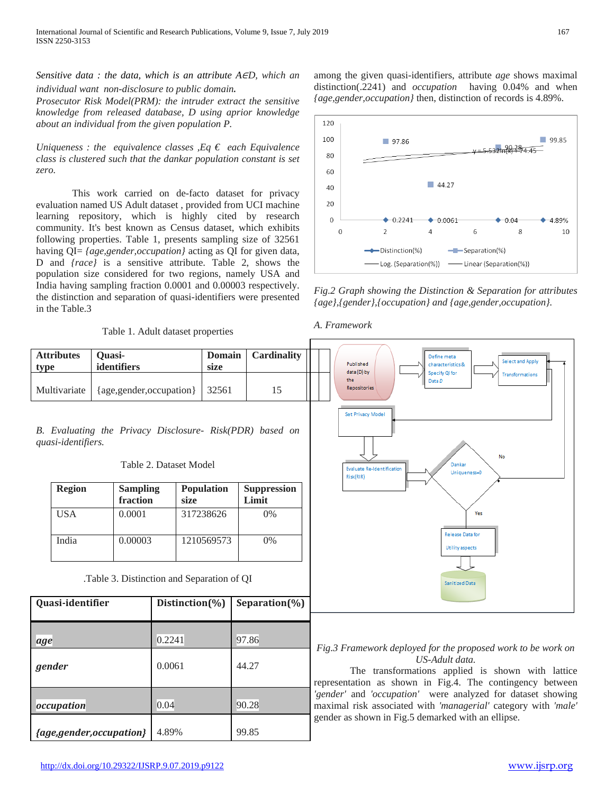*Sensitive data : the data, which is an attribute A*∈*D, which an* 

*individual want non-disclosure to public domain*. *Prosecutor Risk Model(PRM): the intruder extract the sensitive knowledge from released database, D using aprior knowledge about an individual from the given population P.*

*Uniqueness : the equivalence classes , Eq*  $\epsilon$  *each Equivalence class is clustered such that the dankar population constant is set zero.*

This work carried on de-facto dataset for privacy evaluation named US Adult dataset , provided from UCI machine learning repository, which is highly cited by research community. It's best known as Census dataset, which exhibits following properties. Table 1, presents sampling size of 32561 having QI= *{age,gender,occupation}* acting as QI for given data, D and *{race}* is a sensitive attribute. Table 2, shows the population size considered for two regions, namely USA and India having sampling fraction 0.0001 and 0.00003 respectively. the distinction and separation of quasi-identifiers were presented in the Table.3

among the given quasi-identifiers, attribute *age* shows maximal distinction(.2241) and *occupation* having 0.04% and when *{age,gender,occupation}* then, distinction of records is 4.89%.



*Fig.2 Graph showing the Distinction & Separation for attributes {age},{gender},{occupation} and {age,gender,occupation}.*



| <b>Attributes</b><br>Quasi-<br>identifiers<br>type                                                       |                                            | <b>Domain</b><br>size   | <b>Cardinality</b> | Define meta<br>Select and Apply<br>Published<br>characteristics &<br>data (D) by<br>Specify QI for |                                                                                                                                                                                                                                                                                                                                                                                         |
|----------------------------------------------------------------------------------------------------------|--------------------------------------------|-------------------------|--------------------|----------------------------------------------------------------------------------------------------|-----------------------------------------------------------------------------------------------------------------------------------------------------------------------------------------------------------------------------------------------------------------------------------------------------------------------------------------------------------------------------------------|
| Multivariate                                                                                             |                                            | {age,gender,occupation} |                    | 15                                                                                                 | Transformations<br>the<br>Data D<br>Repositories                                                                                                                                                                                                                                                                                                                                        |
| B. Evaluating the Privacy Disclosure- Risk(PDR) based on<br>quasi-identifiers.<br>Table 2. Dataset Model |                                            |                         |                    |                                                                                                    | Set Privacy Model<br>No<br>Dankar<br><b>Evaluate Re-Identification</b><br>Uniqueness=0<br>Risk(RIR)                                                                                                                                                                                                                                                                                     |
| <b>Region</b>                                                                                            | <b>Sampling</b><br>fraction                |                         | Population         | <b>Suppression</b><br>Limit                                                                        |                                                                                                                                                                                                                                                                                                                                                                                         |
| <b>USA</b>                                                                                               | 0.0001                                     |                         | 317238626          | 0%                                                                                                 | Yes                                                                                                                                                                                                                                                                                                                                                                                     |
| India                                                                                                    | 0.00003                                    |                         | 1210569573         | 0%                                                                                                 | <b>Release Data for</b><br>Utility aspects                                                                                                                                                                                                                                                                                                                                              |
|                                                                                                          | .Table 3. Distinction and Separation of QI |                         |                    |                                                                                                    | <b>Sanitized Data</b>                                                                                                                                                                                                                                                                                                                                                                   |
| Quasi-identifier                                                                                         |                                            | Distinction(%)          |                    | Separation(%)                                                                                      |                                                                                                                                                                                                                                                                                                                                                                                         |
| age                                                                                                      |                                            | 0.2241                  |                    | 97.86                                                                                              |                                                                                                                                                                                                                                                                                                                                                                                         |
| gender                                                                                                   |                                            | 0.0061                  |                    | 44.27                                                                                              | Fig.3 Framework deployed for the proposed work to be work on<br>US-Adult data.<br>The transformations applied is shown with lattice<br>representation as shown in Fig.4. The contingency between<br>'gender' and 'occupation' were analyzed for dataset showing<br>maximal risk associated with 'managerial' category with 'male'<br>gender as shown in Fig.5 demarked with an ellipse. |
| occupation                                                                                               |                                            | 0.04                    |                    | 90.28                                                                                              |                                                                                                                                                                                                                                                                                                                                                                                         |

*{age,gender,occupation}* 4.89% 99.85

# *A. Framework*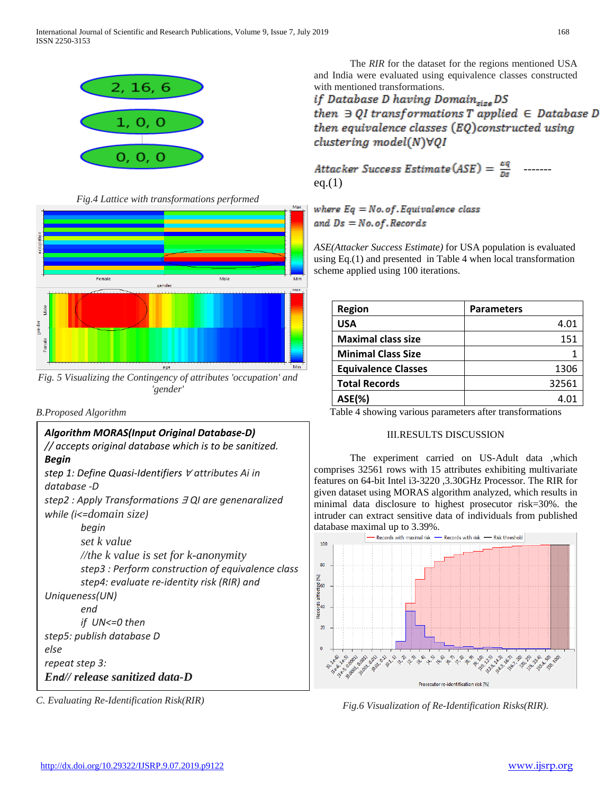

*Fig.4 Lattice with transformations performed*



*Fig. 5 Visualizing the Contingency of attributes 'occupation' and 'gender'*

## *B.Proposed Algorithm*



*C. Evaluating Re-Identification Risk(RIR)*

The *RIR* for the dataset for the regions mentioned USA and India were evaluated using equivalence classes constructed

with mentioned transformations.<br> **if Database D having Domain<sub>size</sub>** DS then  $\exists$  QI transformations T applied  $\in$  Database D then equivalence classes (EQ)constructed using  $clustering \ model(N)\forall QI$ 

Attacker Success Estimate (ASE) =  $\frac{eq}{n_e}$  ------eq. $(1)$ 

where  $Eq = No. of. Equivalence class$ and  $Ds = No. of. Records$ 

*ASE(Attacker Success Estimate)* for USA population is evaluated using Eq.(1) and presented in Table 4 when local transformation scheme applied using 100 iterations.

| <b>Region</b>              | <b>Parameters</b> |
|----------------------------|-------------------|
| <b>USA</b>                 | 4.01              |
| <b>Maximal class size</b>  | 151               |
| <b>Minimal Class Size</b>  |                   |
| <b>Equivalence Classes</b> | 1306              |
| <b>Total Records</b>       | 32561             |
| <b>ASE(%)</b>              | 4.0               |

Table 4 showing various parameters after transformations

## III.RESULTS DISCUSSION

The experiment carried on US-Adult data ,which comprises 32561 rows with 15 attributes exhibiting multivariate features on 64-bit Intel i3-3220 ,3.30GHz Processor. The RIR for given dataset using MORAS algorithm analyzed, which results in minimal data disclosure to highest prosecutor risk=30%. the intruder can extract sensitive data of individuals from published database maximal up to  $3.39\%$ .<br>- Records with maximal risk -



*Fig.6 Visualization of Re-Identification Risks(RIR).*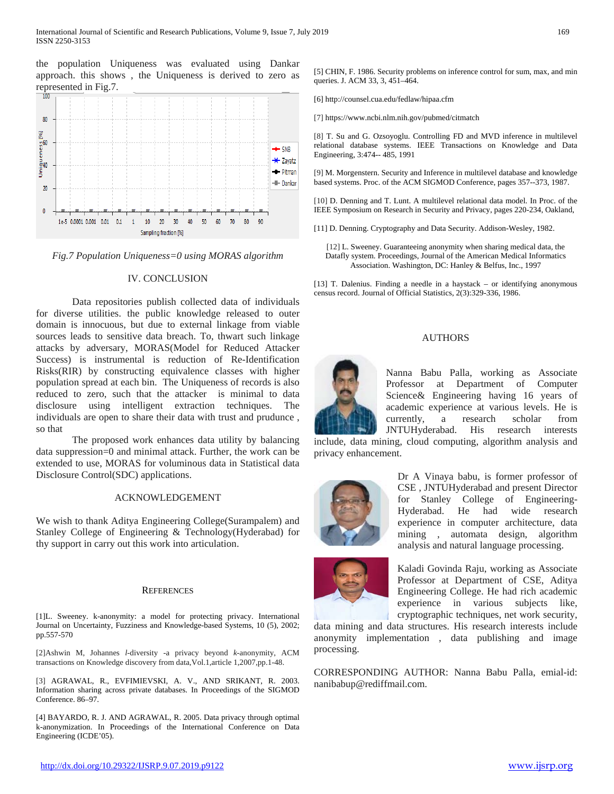the population Uniqueness was evaluated using Dankar approach. this shows , the Uniqueness is derived to zero as represented in Fig.7.



*Fig.7 Population Uniqueness=0 using MORAS algorithm*

### IV. CONCLUSION

Data repositories publish collected data of individuals for diverse utilities. the public knowledge released to outer domain is innocuous, but due to external linkage from viable sources leads to sensitive data breach. To, thwart such linkage attacks by adversary, MORAS(Model for Reduced Attacker Success) is instrumental is reduction of Re-Identification Risks(RIR) by constructing equivalence classes with higher population spread at each bin. The Uniqueness of records is also reduced to zero, such that the attacker is minimal to data disclosure using intelligent extraction techniques. The individuals are open to share their data with trust and prudunce , so that

The proposed work enhances data utility by balancing data suppression=0 and minimal attack. Further, the work can be extended to use, MORAS for voluminous data in Statistical data Disclosure Control(SDC) applications.

#### ACKNOWLEDGEMENT

We wish to thank Aditya Engineering College(Surampalem) and Stanley College of Engineering & Technology(Hyderabad) for thy support in carry out this work into articulation.

#### **REFERENCES**

[1]L. Sweeney. k-anonymity: a model for protecting privacy. International Journal on Uncertainty, Fuzziness and Knowledge-based Systems, 10 (5), 2002; pp.557-570

[2]Ashwin M, Johannes *l-*diversity -a privacy beyond *k-*anonymity, ACM transactions on Knowledge discovery from data,Vol.1,article 1,2007,pp.1-48.

[3] AGRAWAL, R., EVFIMIEVSKI, A. V., AND SRIKANT, R. 2003. Information sharing across private databases. In Proceedings of the SIGMOD Conference. 86–97.

[4] BAYARDO, R. J. AND AGRAWAL, R. 2005. Data privacy through optimal k-anonymization. In Proceedings of the International Conference on Data Engineering (ICDE'05).

[5] CHIN, F. 1986. Security problems on inference control for sum, max, and min queries. J. ACM 33, 3, 451–464.

[6] http://counsel.cua.edu/fedlaw/hipaa.cfm

[7] https://www.ncbi.nlm.nih.gov/pubmed/citmatch

[8] T. Su and G. Ozsoyoglu. Controlling FD and MVD inference in multilevel relational database systems. IEEE Transactions on Knowledge and Data Engineering, 3:474-- 485, 1991

[9] M. Morgenstern. Security and Inference in multilevel database and knowledge based systems. Proc. of the ACM SIGMOD Conference, pages 357--373, 1987.

[10] D. Denning and T. Lunt. A multilevel relational data model. In Proc. of the IEEE Symposium on Research in Security and Privacy, pages 220-234, Oakland,

[11] D. Denning. Cryptography and Data Security. Addison-Wesley, 1982.

[12] L. Sweeney. Guaranteeing anonymity when sharing medical data, the Datafly system. Proceedings, Journal of the American Medical Informatics Association. Washington, DC: Hanley & Belfus, Inc., 1997

[13] T. Dalenius. Finding a needle in a haystack – or identifying anonymous census record. Journal of Official Statistics, 2(3):329-336, 1986.

#### AUTHORS



Nanna Babu Palla, working as Associate Professor at Department of Computer Science& Engineering having 16 years of academic experience at various levels. He is currently, a research scholar from JNTUHyderabad. His research interests

include, data mining, cloud computing, algorithm analysis and privacy enhancement.



Dr A Vinaya babu, is former professor of CSE , JNTUHyderabad and present Director for Stanley College of Engineering-Hyderabad. He had wide research experience in computer architecture, data mining , automata design, algorithm analysis and natural language processing.



Kaladi Govinda Raju, working as Associate Professor at Department of CSE, Aditya Engineering College. He had rich academic experience in various subjects like, cryptographic techniques, net work security,

data mining and data structures. His research interests include anonymity implementation , data publishing and image processing.

CORRESPONDING AUTHOR: Nanna Babu Palla, emial-id: nanibabup@rediffmail.com.